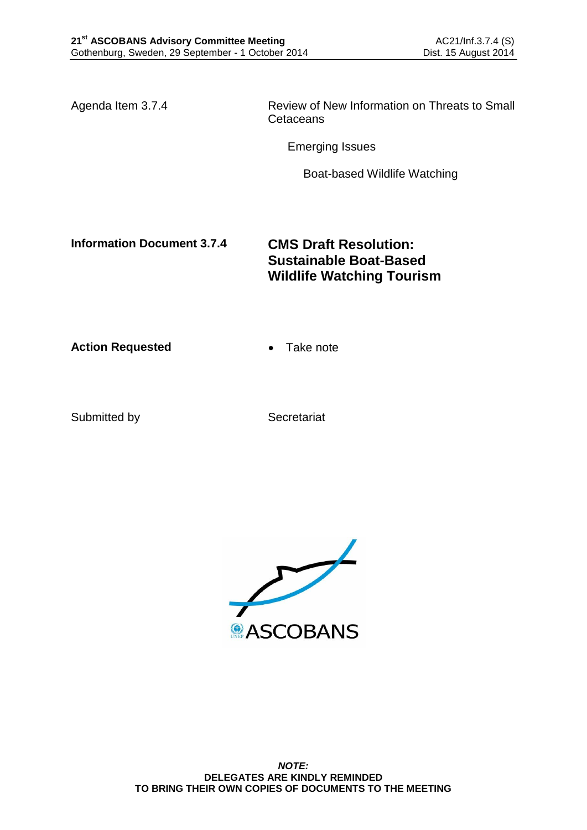Agenda Item 3.7.4 Review of New Information on Threats to Small **Cetaceans** 

Emerging Issues

Boat-based Wildlife Watching

**Information Document 3.7.4 CMS Draft Resolution: Sustainable Boat-Based Wildlife Watching Tourism**

**Action Requested • Take note** 

Submitted by Secretariat

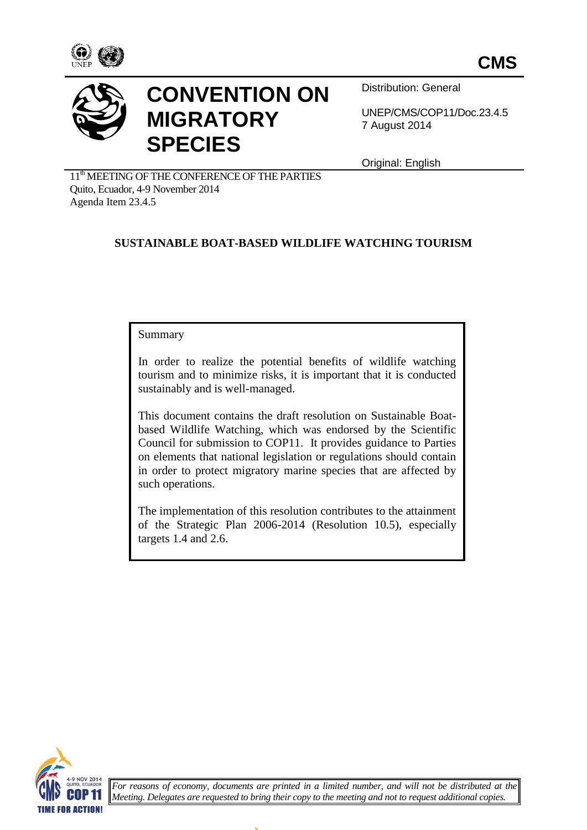



# **CONVENTION ON MIGRATORY SPECIES**

Distribution: General

UNEP/CMS/COP11/Doc.23.4.5 7 August 2014

Original: English

11<sup>th</sup> MEETING OF THE CONFERENCE OF THE PARTIES Quito, Ecuador, 4-9 November 2014 Agenda Item 23.4.5

# **SUSTAINABLE BOAT-BASED WILDLIFE WATCHING TOURISM**

#### Summary

In order to realize the potential benefits of wildlife watching tourism and to minimize risks, it is important that it is conducted sustainably and is well-managed.

This document contains the draft resolution on Sustainable Boatbased Wildlife Watching, which was endorsed by the Scientific Council for submission to COP11. It provides guidance to Parties on elements that national legislation or regulations should contain in order to protect migratory marine species that are affected by such operations.

The implementation of this resolution contributes to the attainment of the Strategic Plan 2006-2014 (Resolution 10.5), especially targets 1.4 and 2.6.



*For reasons of economy, documents are printed in a limited number, and will not be distributed at the Meeting. Delegates are requested to bring their copy to the meeting and not to request additional copies.*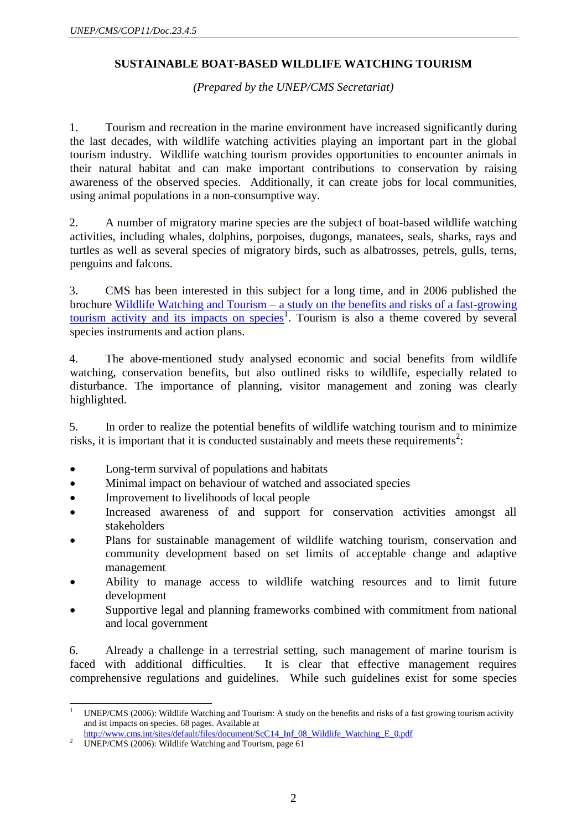## **SUSTAINABLE BOAT-BASED WILDLIFE WATCHING TOURISM**

*(Prepared by the UNEP/CMS Secretariat)*

1. Tourism and recreation in the marine environment have increased significantly during the last decades, with wildlife watching activities playing an important part in the global tourism industry. Wildlife watching tourism provides opportunities to encounter animals in their natural habitat and can make important contributions to conservation by raising awareness of the observed species. Additionally, it can create jobs for local communities, using animal populations in a non-consumptive way.

2. A number of migratory marine species are the subject of boat-based wildlife watching activities, including whales, dolphins, porpoises, dugongs, manatees, seals, sharks, rays and turtles as well as several species of migratory birds, such as albatrosses, petrels, gulls, terns, penguins and falcons.

3. CMS has been interested in this subject for a long time, and in 2006 published the brochure Wildlife Watching and Tourism – [a study on the benefits and risks of a fast-growing](http://www.cms.int/sites/default/files/document/ScC14_Inf_08_Wildlife_Watching_E_0.pdf)  [tourism activity and its impacts on species](http://www.cms.int/sites/default/files/document/ScC14_Inf_08_Wildlife_Watching_E_0.pdf)<sup>1</sup>. Tourism is also a theme covered by several species instruments and action plans.

4. The above-mentioned study analysed economic and social benefits from wildlife watching, conservation benefits, but also outlined risks to wildlife, especially related to disturbance. The importance of planning, visitor management and zoning was clearly highlighted.

5. In order to realize the potential benefits of wildlife watching tourism and to minimize risks, it is important that it is conducted sustainably and meets these requirements<sup>2</sup>:

- Long-term survival of populations and habitats
- Minimal impact on behaviour of watched and associated species
- Improvement to livelihoods of local people
- Increased awareness of and support for conservation activities amongst all stakeholders
- Plans for sustainable management of wildlife watching tourism, conservation and community development based on set limits of acceptable change and adaptive management
- Ability to manage access to wildlife watching resources and to limit future development
- Supportive legal and planning frameworks combined with commitment from national and local government

6. Already a challenge in a terrestrial setting, such management of marine tourism is faced with additional difficulties. It is clear that effective management requires comprehensive regulations and guidelines. While such guidelines exist for some species

 $1^{\circ}$ <sup>1</sup> UNEP/CMS (2006): Wildlife Watching and Tourism: A study on the benefits and risks of a fast growing tourism activity and ist impacts on species. 68 pages. Available at

[http://www.cms.int/sites/default/files/document/ScC14\\_Inf\\_08\\_Wildlife\\_Watching\\_E\\_0.pdf](http://www.cms.int/sites/default/files/document/ScC14_Inf_08_Wildlife_Watching_E_0.pdf)

<sup>2</sup> UNEP/CMS (2006): Wildlife Watching and Tourism, page 61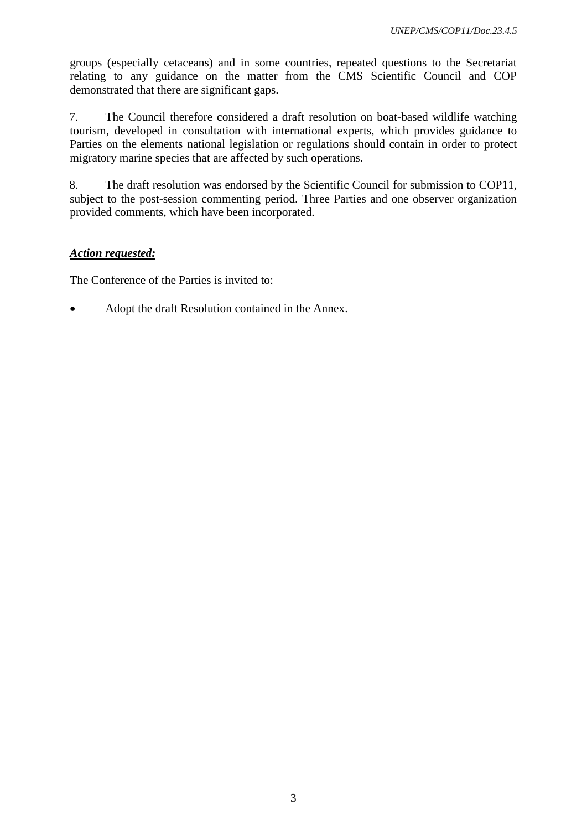groups (especially cetaceans) and in some countries, repeated questions to the Secretariat relating to any guidance on the matter from the CMS Scientific Council and COP demonstrated that there are significant gaps.

7. The Council therefore considered a draft resolution on boat-based wildlife watching tourism, developed in consultation with international experts, which provides guidance to Parties on the elements national legislation or regulations should contain in order to protect migratory marine species that are affected by such operations.

8. The draft resolution was endorsed by the Scientific Council for submission to COP11, subject to the post-session commenting period. Three Parties and one observer organization provided comments, which have been incorporated.

#### *Action requested:*

The Conference of the Parties is invited to:

Adopt the draft Resolution contained in the Annex.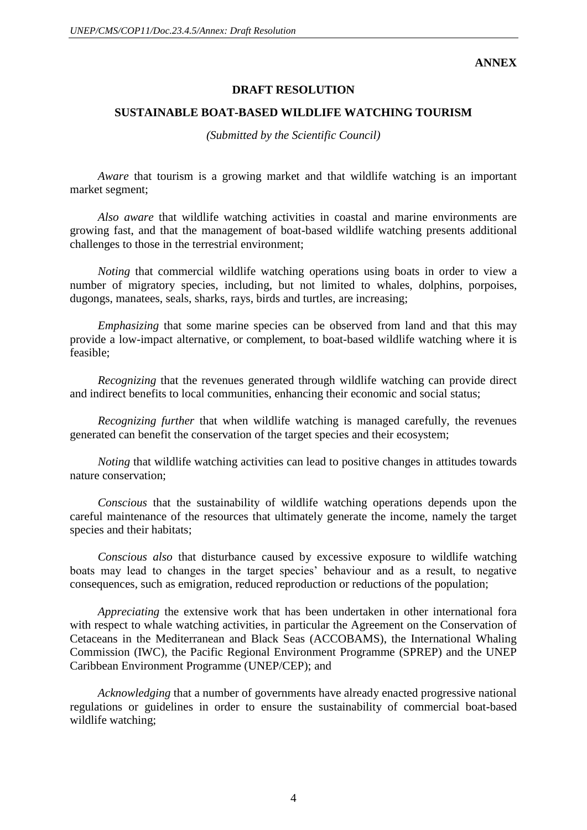**ANNEX**

#### **DRAFT RESOLUTION**

#### **SUSTAINABLE BOAT-BASED WILDLIFE WATCHING TOURISM**

*(Submitted by the Scientific Council)*

*Aware* that tourism is a growing market and that wildlife watching is an important market segment;

*Also aware* that wildlife watching activities in coastal and marine environments are growing fast, and that the management of boat-based wildlife watching presents additional challenges to those in the terrestrial environment;

*Noting* that commercial wildlife watching operations using boats in order to view a number of migratory species, including, but not limited to whales, dolphins, porpoises, dugongs, manatees, seals, sharks, rays, birds and turtles, are increasing;

*Emphasizing* that some marine species can be observed from land and that this may provide a low-impact alternative, or complement, to boat-based wildlife watching where it is feasible;

*Recognizing* that the revenues generated through wildlife watching can provide direct and indirect benefits to local communities, enhancing their economic and social status;

*Recognizing further* that when wildlife watching is managed carefully, the revenues generated can benefit the conservation of the target species and their ecosystem;

*Noting* that wildlife watching activities can lead to positive changes in attitudes towards nature conservation;

*Conscious* that the sustainability of wildlife watching operations depends upon the careful maintenance of the resources that ultimately generate the income, namely the target species and their habitats;

*Conscious also* that disturbance caused by excessive exposure to wildlife watching boats may lead to changes in the target species' behaviour and as a result, to negative consequences, such as emigration, reduced reproduction or reductions of the population;

*Appreciating* the extensive work that has been undertaken in other international fora with respect to whale watching activities, in particular the Agreement on the Conservation of Cetaceans in the Mediterranean and Black Seas (ACCOBAMS), the International Whaling Commission (IWC), the Pacific Regional Environment Programme (SPREP) and the UNEP Caribbean Environment Programme (UNEP/CEP); and

*Acknowledging* that a number of governments have already enacted progressive national regulations or guidelines in order to ensure the sustainability of commercial boat-based wildlife watching;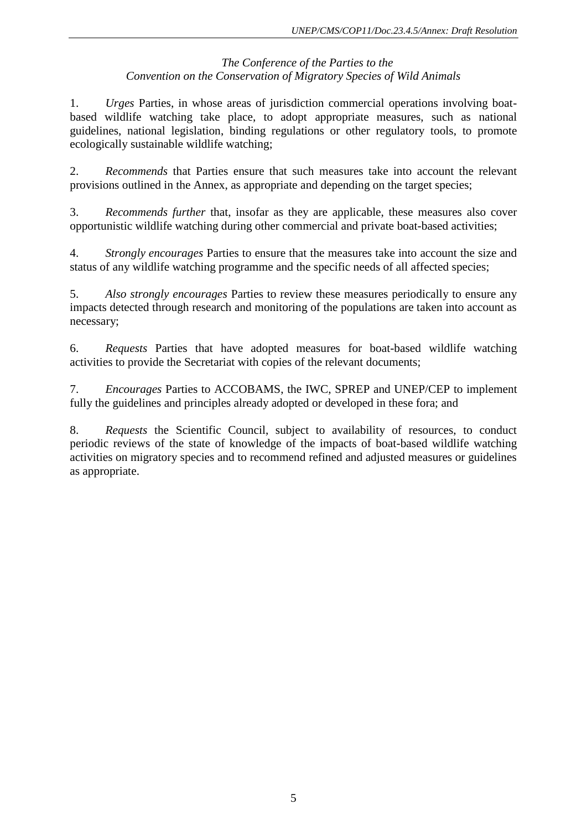### *The Conference of the Parties to the Convention on the Conservation of Migratory Species of Wild Animals*

1. *Urges* Parties, in whose areas of jurisdiction commercial operations involving boatbased wildlife watching take place, to adopt appropriate measures, such as national guidelines, national legislation, binding regulations or other regulatory tools, to promote ecologically sustainable wildlife watching;

2. *Recommends* that Parties ensure that such measures take into account the relevant provisions outlined in the Annex, as appropriate and depending on the target species;

3. *Recommends further* that, insofar as they are applicable, these measures also cover opportunistic wildlife watching during other commercial and private boat-based activities;

4. *Strongly encourages* Parties to ensure that the measures take into account the size and status of any wildlife watching programme and the specific needs of all affected species;

5. *Also strongly encourages* Parties to review these measures periodically to ensure any impacts detected through research and monitoring of the populations are taken into account as necessary;

6. *Requests* Parties that have adopted measures for boat-based wildlife watching activities to provide the Secretariat with copies of the relevant documents;

7. *Encourages* Parties to ACCOBAMS, the IWC, SPREP and UNEP/CEP to implement fully the guidelines and principles already adopted or developed in these fora; and

8. *Requests* the Scientific Council, subject to availability of resources, to conduct periodic reviews of the state of knowledge of the impacts of boat-based wildlife watching activities on migratory species and to recommend refined and adjusted measures or guidelines as appropriate.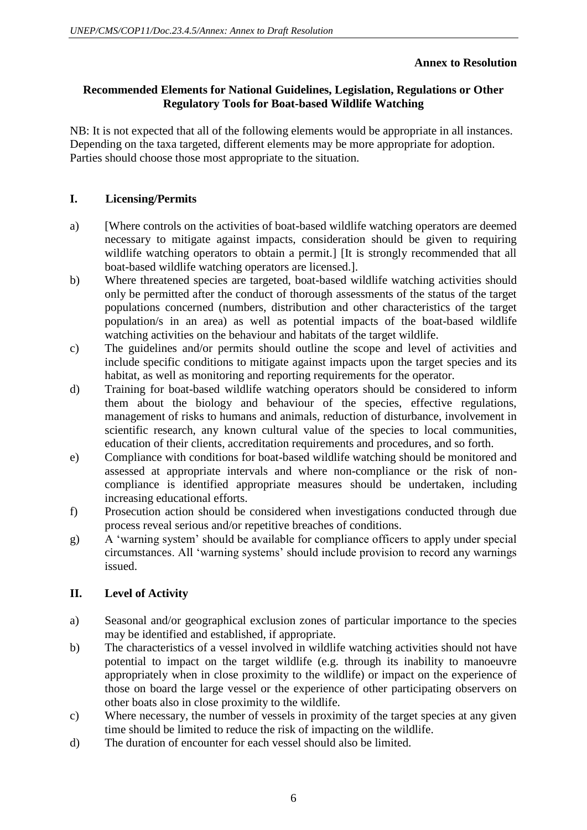# **Annex to Resolution**

# **Recommended Elements for National Guidelines, Legislation, Regulations or Other Regulatory Tools for Boat-based Wildlife Watching**

NB: It is not expected that all of the following elements would be appropriate in all instances. Depending on the taxa targeted, different elements may be more appropriate for adoption. Parties should choose those most appropriate to the situation.

## **I. Licensing/Permits**

- a) [Where controls on the activities of boat-based wildlife watching operators are deemed necessary to mitigate against impacts, consideration should be given to requiring wildlife watching operators to obtain a permit.] [It is strongly recommended that all boat-based wildlife watching operators are licensed.].
- b) Where threatened species are targeted, boat-based wildlife watching activities should only be permitted after the conduct of thorough assessments of the status of the target populations concerned (numbers, distribution and other characteristics of the target population/s in an area) as well as potential impacts of the boat-based wildlife watching activities on the behaviour and habitats of the target wildlife.
- c) The guidelines and/or permits should outline the scope and level of activities and include specific conditions to mitigate against impacts upon the target species and its habitat, as well as monitoring and reporting requirements for the operator.
- d) Training for boat-based wildlife watching operators should be considered to inform them about the biology and behaviour of the species, effective regulations, management of risks to humans and animals, reduction of disturbance, involvement in scientific research, any known cultural value of the species to local communities, education of their clients, accreditation requirements and procedures, and so forth.
- e) Compliance with conditions for boat-based wildlife watching should be monitored and assessed at appropriate intervals and where non-compliance or the risk of noncompliance is identified appropriate measures should be undertaken, including increasing educational efforts.
- f) Prosecution action should be considered when investigations conducted through due process reveal serious and/or repetitive breaches of conditions.
- g) A 'warning system' should be available for compliance officers to apply under special circumstances. All 'warning systems' should include provision to record any warnings issued.

# **II. Level of Activity**

- a) Seasonal and/or geographical exclusion zones of particular importance to the species may be identified and established, if appropriate.
- b) The characteristics of a vessel involved in wildlife watching activities should not have potential to impact on the target wildlife (e.g. through its inability to manoeuvre appropriately when in close proximity to the wildlife) or impact on the experience of those on board the large vessel or the experience of other participating observers on other boats also in close proximity to the wildlife.
- c) Where necessary, the number of vessels in proximity of the target species at any given time should be limited to reduce the risk of impacting on the wildlife.
- d) The duration of encounter for each vessel should also be limited.